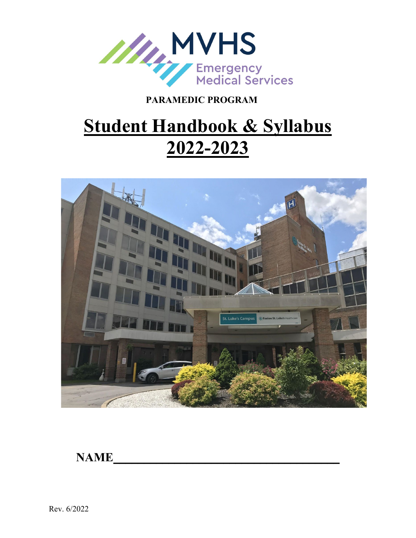

# **Student Handbook & Syllabus 2022-2023**



**NAME\_\_\_\_\_\_\_\_\_\_\_\_\_\_\_\_\_\_\_\_\_\_\_\_\_\_\_\_\_\_\_\_\_\_\_\_\_**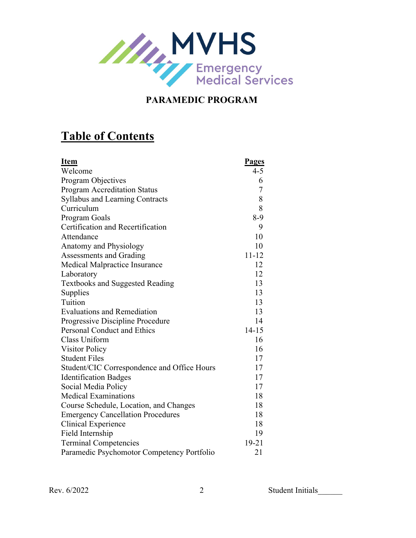

# **Table of Contents**

| <b>Item</b>                                 | <b>Pages</b>   |
|---------------------------------------------|----------------|
| Welcome                                     | $4 - 5$        |
| Program Objectives                          | 6              |
| <b>Program Accreditation Status</b>         | $\overline{7}$ |
| <b>Syllabus and Learning Contracts</b>      | 8              |
| Curriculum                                  | 8              |
| Program Goals                               | $8-9$          |
| Certification and Recertification           | 9              |
| Attendance                                  | 10             |
| Anatomy and Physiology                      | 10             |
| Assessments and Grading                     | $11 - 12$      |
| Medical Malpractice Insurance               | 12             |
| Laboratory                                  | 12             |
| <b>Textbooks and Suggested Reading</b>      | 13             |
| Supplies                                    | 13             |
| Tuition                                     | 13             |
| <b>Evaluations and Remediation</b>          | 13             |
| Progressive Discipline Procedure            | 14             |
| <b>Personal Conduct and Ethics</b>          | $14 - 15$      |
| Class Uniform                               | 16             |
| <b>Visitor Policy</b>                       | 16             |
| <b>Student Files</b>                        | 17             |
| Student/CIC Correspondence and Office Hours | 17             |
| <b>Identification Badges</b>                | 17             |
| Social Media Policy                         | 17             |
| <b>Medical Examinations</b>                 | 18             |
| Course Schedule, Location, and Changes      | 18             |
| <b>Emergency Cancellation Procedures</b>    | 18             |
| Clinical Experience                         | 18             |
| Field Internship                            | 19             |
| <b>Terminal Competencies</b>                | $19 - 21$      |
| Paramedic Psychomotor Competency Portfolio  | 21             |

Rev. 6/2022 2 Student Initials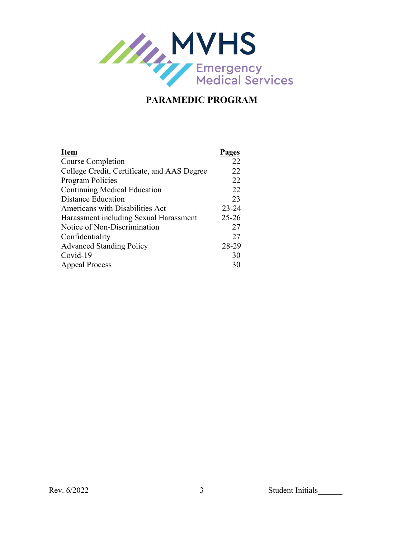

| <b>Item</b>                                 | Pages     |
|---------------------------------------------|-----------|
| Course Completion                           | 22        |
| College Credit, Certificate, and AAS Degree | 22        |
| <b>Program Policies</b>                     | 22        |
| <b>Continuing Medical Education</b>         | 22        |
| <b>Distance Education</b>                   | 23        |
| Americans with Disabilities Act             | $23 - 24$ |
| Harassment including Sexual Harassment      | $25 - 26$ |
| Notice of Non-Discrimination                | 27        |
| Confidentiality                             | 27        |
| <b>Advanced Standing Policy</b>             | 28-29     |
| Covid-19                                    | 30        |
| <b>Appeal Process</b>                       | 30        |
|                                             |           |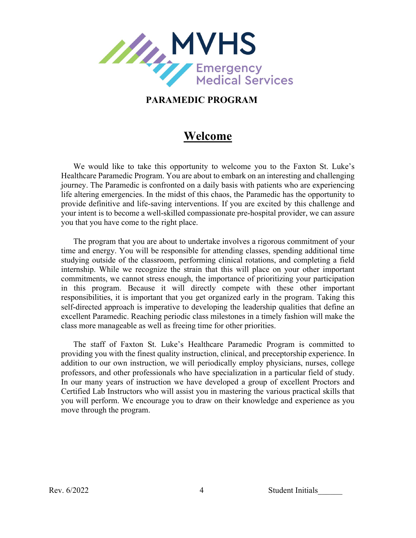

## **Welcome**

We would like to take this opportunity to welcome you to the Faxton St. Luke's Healthcare Paramedic Program. You are about to embark on an interesting and challenging journey. The Paramedic is confronted on a daily basis with patients who are experiencing life altering emergencies. In the midst of this chaos, the Paramedic has the opportunity to provide definitive and life-saving interventions. If you are excited by this challenge and your intent is to become a well-skilled compassionate pre-hospital provider, we can assure you that you have come to the right place.

The program that you are about to undertake involves a rigorous commitment of your time and energy. You will be responsible for attending classes, spending additional time studying outside of the classroom, performing clinical rotations, and completing a field internship. While we recognize the strain that this will place on your other important commitments, we cannot stress enough, the importance of prioritizing your participation in this program. Because it will directly compete with these other important responsibilities, it is important that you get organized early in the program. Taking this self-directed approach is imperative to developing the leadership qualities that define an excellent Paramedic. Reaching periodic class milestones in a timely fashion will make the class more manageable as well as freeing time for other priorities.

The staff of Faxton St. Luke's Healthcare Paramedic Program is committed to providing you with the finest quality instruction, clinical, and preceptorship experience. In addition to our own instruction, we will periodically employ physicians, nurses, college professors, and other professionals who have specialization in a particular field of study. In our many years of instruction we have developed a group of excellent Proctors and Certified Lab Instructors who will assist you in mastering the various practical skills that you will perform. We encourage you to draw on their knowledge and experience as you move through the program.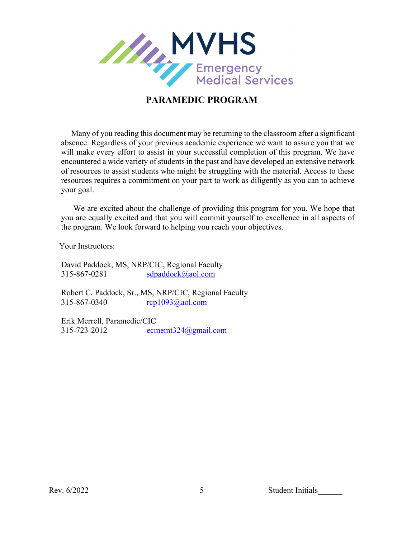

 Many of you reading this document may be returning to the classroom after a significant absence. Regardless of your previous academic experience we want to assure you that we will make every effort to assist in your successful completion of this program. We have encountered a wide variety of students in the past and have developed an extensive network of resources to assist students who might be struggling with the material. Access to these resources requires a commitment on your part to work as diligently as you can to achieve your goal.

We are excited about the challenge of providing this program for you. We hope that you are equally excited and that you will commit yourself to excellence in all aspects of the program. We look forward to helping you reach your objectives.

Your Instructors:

David Paddock, MS, NRP/CIC, Regional Faculty 315-867-0281 [sdpaddock@aol.com](mailto:sdpaddock@aol.com)

Robert C. Paddock, Sr., MS, NRP/CIC, Regional Faculty 315-867-0340 [rcp1093@aol.com](mailto:paramedic@midstateems.org)

Erik Merrell, Paramedic/CIC 315-723-2012 [ecmemt324@gmail.com](mailto:ecmemt324@gmail.com)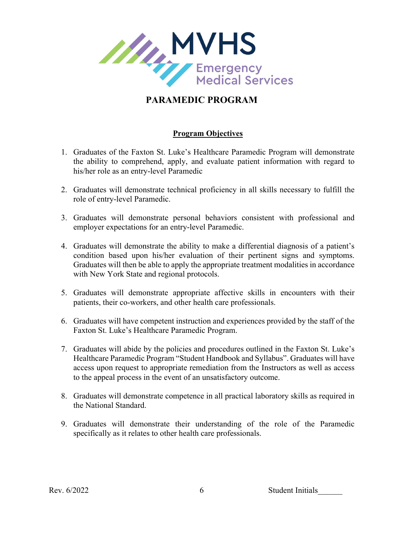

#### **Program Objectives**

- 1. Graduates of the Faxton St. Luke's Healthcare Paramedic Program will demonstrate the ability to comprehend, apply, and evaluate patient information with regard to his/her role as an entry-level Paramedic
- 2. Graduates will demonstrate technical proficiency in all skills necessary to fulfill the role of entry-level Paramedic.
- 3. Graduates will demonstrate personal behaviors consistent with professional and employer expectations for an entry-level Paramedic.
- 4. Graduates will demonstrate the ability to make a differential diagnosis of a patient's condition based upon his/her evaluation of their pertinent signs and symptoms. Graduates will then be able to apply the appropriate treatment modalities in accordance with New York State and regional protocols.
- 5. Graduates will demonstrate appropriate affective skills in encounters with their patients, their co-workers, and other health care professionals.
- 6. Graduates will have competent instruction and experiences provided by the staff of the Faxton St. Luke's Healthcare Paramedic Program.
- 7. Graduates will abide by the policies and procedures outlined in the Faxton St. Luke's Healthcare Paramedic Program "Student Handbook and Syllabus". Graduates will have access upon request to appropriate remediation from the Instructors as well as access to the appeal process in the event of an unsatisfactory outcome.
- 8. Graduates will demonstrate competence in all practical laboratory skills as required in the National Standard.
- 9. Graduates will demonstrate their understanding of the role of the Paramedic specifically as it relates to other health care professionals.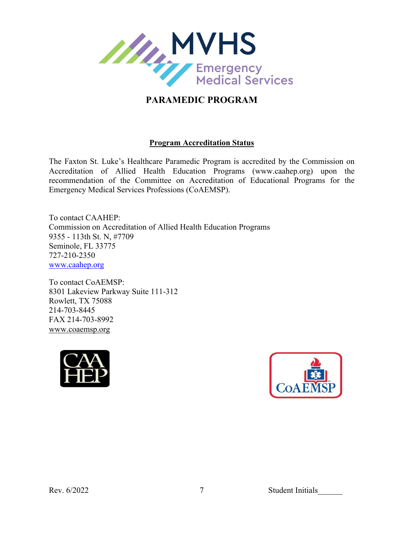

#### **Program Accreditation Status**

The Faxton St. Luke's Healthcare Paramedic Program is accredited by the Commission on Accreditation of Allied Health Education Programs (www.caahep.org) upon the recommendation of the Committee on Accreditation of Educational Programs for the Emergency Medical Services Professions (CoAEMSP).

To contact CAAHEP: Commission on Accreditation of Allied Health Education Programs 9355 - 113th St. N, #7709 Seminole, FL 33775 727-210-2350 [www.caahep.org](http://www.caahep.org/)

To contact CoAEMSP: 8301 Lakeview Parkway Suite 111-312 Rowlett, TX 75088 214-703-8445 FAX 214-703-8992 [www.coaemsp.org](http://www.coaemsp.org/)





Rev. 6/2022 7 Student Initials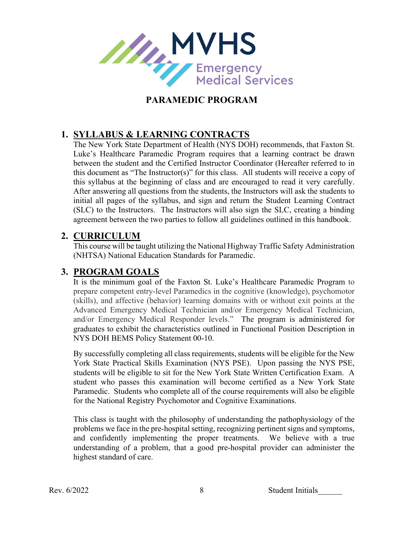

#### **1. SYLLABUS & LEARNING CONTRACTS**

The New York State Department of Health (NYS DOH) recommends, that Faxton St. Luke's Healthcare Paramedic Program requires that a learning contract be drawn between the student and the Certified Instructor Coordinator (Hereafter referred to in this document as "The Instructor(s)" for this class. All students will receive a copy of this syllabus at the beginning of class and are encouraged to read it very carefully. After answering all questions from the students, the Instructors will ask the students to initial all pages of the syllabus, and sign and return the Student Learning Contract (SLC) to the Instructors. The Instructors will also sign the SLC, creating a binding agreement between the two parties to follow all guidelines outlined in this handbook.

#### **2. CURRICULUM**

This course will be taught utilizing the National Highway Traffic Safety Administration (NHTSA) National Education Standards for Paramedic.

#### **3. PROGRAM GOALS**

It is the minimum goal of the Faxton St. Luke's Healthcare Paramedic Program to prepare competent entry-level Paramedics in the cognitive (knowledge), psychomotor (skills), and affective (behavior) learning domains with or without exit points at the Advanced Emergency Medical Technician and/or Emergency Medical Technician, and/or Emergency Medical Responder levels." The program is administered for graduates to exhibit the characteristics outlined in Functional Position Description in NYS DOH BEMS Policy Statement 00-10.

By successfully completing all class requirements, students will be eligible for the New York State Practical Skills Examination (NYS PSE). Upon passing the NYS PSE, students will be eligible to sit for the New York State Written Certification Exam. A student who passes this examination will become certified as a New York State Paramedic. Students who complete all of the course requirements will also be eligible for the National Registry Psychomotor and Cognitive Examinations.

This class is taught with the philosophy of understanding the pathophysiology of the problems we face in the pre-hospital setting, recognizing pertinent signs and symptoms, and confidently implementing the proper treatments. We believe with a true understanding of a problem, that a good pre-hospital provider can administer the highest standard of care.

Rev. 6/2022 8 Student Initials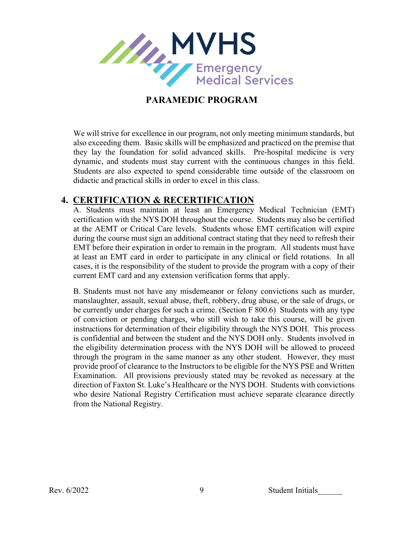

We will strive for excellence in our program, not only meeting minimum standards, but also exceeding them. Basic skills will be emphasized and practiced on the premise that they lay the foundation for solid advanced skills. Pre-hospital medicine is very dynamic, and students must stay current with the continuous changes in this field. Students are also expected to spend considerable time outside of the classroom on didactic and practical skills in order to excel in this class.

#### **4. CERTIFICATION & RECERTIFICATION**

A. Students must maintain at least an Emergency Medical Technician (EMT) certification with the NYS DOH throughout the course. Students may also be certified at the AEMT or Critical Care levels. Students whose EMT certification will expire during the course must sign an additional contract stating that they need to refresh their EMT before their expiration in order to remain in the program. All students must have at least an EMT card in order to participate in any clinical or field rotations. In all cases, it is the responsibility of the student to provide the program with a copy of their current EMT card and any extension verification forms that apply.

B. Students must not have any misdemeanor or felony convictions such as murder, manslaughter, assault, sexual abuse, theft, robbery, drug abuse, or the sale of drugs, or be currently under charges for such a crime. (Section F 800.6) Students with any type of conviction or pending charges, who still wish to take this course, will be given instructions for determination of their eligibility through the NYS DOH. This process is confidential and between the student and the NYS DOH only. Students involved in the eligibility determination process with the NYS DOH will be allowed to proceed through the program in the same manner as any other student. However, they must provide proof of clearance to the Instructors to be eligible for the NYS PSE and Written Examination. All provisions previously stated may be revoked as necessary at the direction of Faxton St. Luke's Healthcare or the NYS DOH. Students with convictions who desire National Registry Certification must achieve separate clearance directly from the National Registry.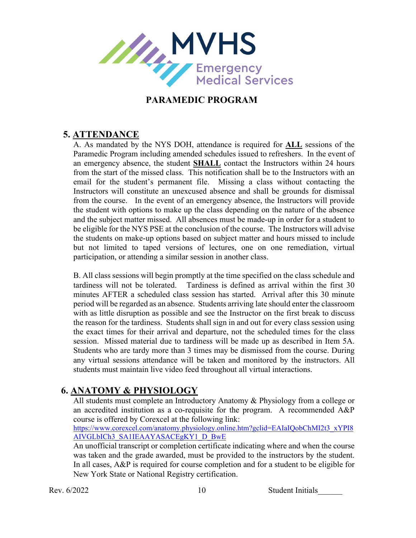

#### **5. ATTENDANCE**

A. As mandated by the NYS DOH, attendance is required for **ALL** sessions of the Paramedic Program including amended schedules issued to refreshers. In the event of an emergency absence, the student **SHALL** contact the Instructors within 24 hours from the start of the missed class. This notification shall be to the Instructors with an email for the student's permanent file. Missing a class without contacting the Instructors will constitute an unexcused absence and shall be grounds for dismissal from the course. In the event of an emergency absence, the Instructors will provide the student with options to make up the class depending on the nature of the absence and the subject matter missed. All absences must be made-up in order for a student to be eligible for the NYS PSE at the conclusion of the course. The Instructors will advise the students on make-up options based on subject matter and hours missed to include but not limited to taped versions of lectures, one on one remediation, virtual participation, or attending a similar session in another class.

B. All class sessions will begin promptly at the time specified on the class schedule and tardiness will not be tolerated. Tardiness is defined as arrival within the first 30 minutes AFTER a scheduled class session has started. Arrival after this 30 minute period will be regarded as an absence. Students arriving late should enter the classroom with as little disruption as possible and see the Instructor on the first break to discuss the reason for the tardiness. Students shall sign in and out for every class session using the exact times for their arrival and departure, not the scheduled times for the class session. Missed material due to tardiness will be made up as described in Item 5A. Students who are tardy more than 3 times may be dismissed from the course. During any virtual sessions attendance will be taken and monitored by the instructors. All students must maintain live video feed throughout all virtual interactions.

#### **6. ANATOMY & PHYSIOLOGY**

All students must complete an Introductory Anatomy & Physiology from a college or an accredited institution as a co-requisite for the program. A recommended A&P course is offered by Corexcel at the following link:

[https://www.corexcel.com/anatomy.physiology.online.htm?gclid=EAIaIQobChMI2t3\\_xYPI8](https://www.corexcel.com/anatomy.physiology.online.htm?gclid=EAIaIQobChMI2t3_xYPI8AIVGLbICh3_SA1IEAAYASACEgKY1_D_BwE) [AIVGLbICh3\\_SA1IEAAYASACEgKY1\\_D\\_BwE](https://www.corexcel.com/anatomy.physiology.online.htm?gclid=EAIaIQobChMI2t3_xYPI8AIVGLbICh3_SA1IEAAYASACEgKY1_D_BwE)

An unofficial transcript or completion certificate indicating where and when the course was taken and the grade awarded, must be provided to the instructors by the student. In all cases, A&P is required for course completion and for a student to be eligible for New York State or National Registry certification.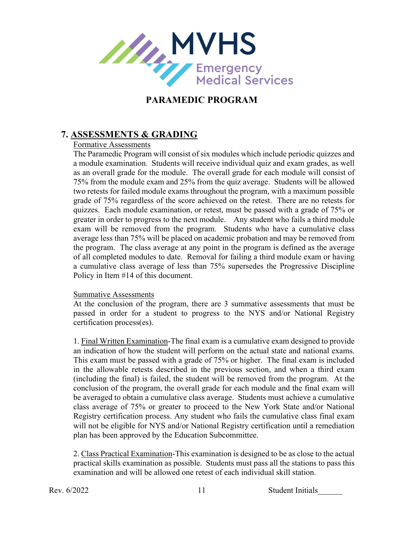

#### **7. ASSESSMENTS & GRADING**

#### Formative Assessments

The Paramedic Program will consist of six modules which include periodic quizzes and a module examination. Students will receive individual quiz and exam grades, as well as an overall grade for the module. The overall grade for each module will consist of 75% from the module exam and 25% from the quiz average. Students will be allowed two retests for failed module exams throughout the program, with a maximum possible grade of 75% regardless of the score achieved on the retest. There are no retests for quizzes. Each module examination, or retest, must be passed with a grade of 75% or greater in order to progress to the next module. Any student who fails a third module exam will be removed from the program. Students who have a cumulative class average less than 75% will be placed on academic probation and may be removed from the program. The class average at any point in the program is defined as the average of all completed modules to date. Removal for failing a third module exam or having a cumulative class average of less than 75% supersedes the Progressive Discipline Policy in Item #14 of this document.

#### Summative Assessments

At the conclusion of the program, there are 3 summative assessments that must be passed in order for a student to progress to the NYS and/or National Registry certification process(es).

1. Final Written Examination-The final exam is a cumulative exam designed to provide an indication of how the student will perform on the actual state and national exams. This exam must be passed with a grade of 75% or higher. The final exam is included in the allowable retests described in the previous section, and when a third exam (including the final) is failed, the student will be removed from the program. At the conclusion of the program, the overall grade for each module and the final exam will be averaged to obtain a cumulative class average. Students must achieve a cumulative class average of 75% or greater to proceed to the New York State and/or National Registry certification process. Any student who fails the cumulative class final exam will not be eligible for NYS and/or National Registry certification until a remediation plan has been approved by the Education Subcommittee.

2. Class Practical Examination-This examination is designed to be as close to the actual practical skills examination as possible. Students must pass all the stations to pass this examination and will be allowed one retest of each individual skill station.

Rev. 6/2022 11 Student Initials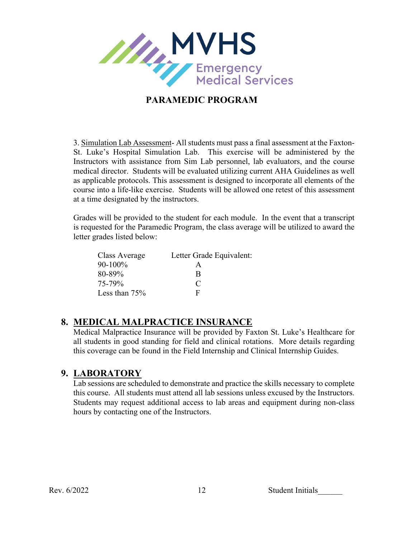

3. Simulation Lab Assessment- All students must pass a final assessment at the Faxton-St. Luke's Hospital Simulation Lab. This exercise will be administered by the Instructors with assistance from Sim Lab personnel, lab evaluators, and the course medical director. Students will be evaluated utilizing current AHA Guidelines as well as applicable protocols. This assessment is designed to incorporate all elements of the course into a life-like exercise. Students will be allowed one retest of this assessment at a time designated by the instructors.

Grades will be provided to the student for each module. In the event that a transcript is requested for the Paramedic Program, the class average will be utilized to award the letter grades listed below:

| Class Average | Letter Grade Equivalent: |
|---------------|--------------------------|
| $90 - 100\%$  | А                        |
| 80-89%        | R                        |
| 75-79%        | €                        |
| Less than 75% | F                        |

#### **8. MEDICAL MALPRACTICE INSURANCE**

Medical Malpractice Insurance will be provided by Faxton St. Luke's Healthcare for all students in good standing for field and clinical rotations. More details regarding this coverage can be found in the Field Internship and Clinical Internship Guides.

#### **9. LABORATORY**

Lab sessions are scheduled to demonstrate and practice the skills necessary to complete this course. All students must attend all lab sessions unless excused by the Instructors. Students may request additional access to lab areas and equipment during non-class hours by contacting one of the Instructors.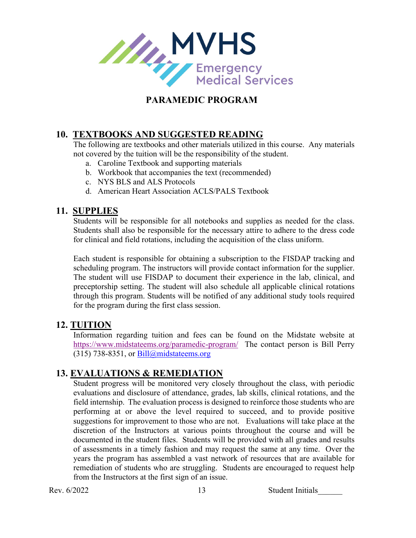

#### **10. TEXTBOOKS AND SUGGESTED READING**

The following are textbooks and other materials utilized in this course. Any materials not covered by the tuition will be the responsibility of the student.

- a. Caroline Textbook and supporting materials
- b. Workbook that accompanies the text (recommended)
- c. NYS BLS and ALS Protocols
- d. American Heart Association ACLS/PALS Textbook

#### **11. SUPPLIES**

Students will be responsible for all notebooks and supplies as needed for the class. Students shall also be responsible for the necessary attire to adhere to the dress code for clinical and field rotations, including the acquisition of the class uniform.

Each student is responsible for obtaining a subscription to the FISDAP tracking and scheduling program. The instructors will provide contact information for the supplier. The student will use FISDAP to document their experience in the lab, clinical, and preceptorship setting. The student will also schedule all applicable clinical rotations through this program. Students will be notified of any additional study tools required for the program during the first class session.

#### **12. TUITION**

Information regarding tuition and fees can be found on the Midstate website at <https://www.midstateems.org/paramedic-program/>The contact person is Bill Perry (315) 738-8351, or  $\text{Bill@mid}$  state ems.org

#### **13. EVALUATIONS & REMEDIATION**

Student progress will be monitored very closely throughout the class, with periodic evaluations and disclosure of attendance, grades, lab skills, clinical rotations, and the field internship. The evaluation process is designed to reinforce those students who are performing at or above the level required to succeed, and to provide positive suggestions for improvement to those who are not. Evaluations will take place at the discretion of the Instructors at various points throughout the course and will be documented in the student files. Students will be provided with all grades and results of assessments in a timely fashion and may request the same at any time. Over the years the program has assembled a vast network of resources that are available for remediation of students who are struggling. Students are encouraged to request help from the Instructors at the first sign of an issue.

Rev. 6/2022 13 Student Initials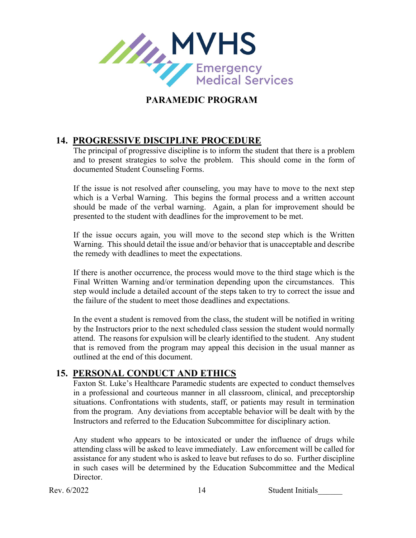

#### **14. PROGRESSIVE DISCIPLINE PROCEDURE**

The principal of progressive discipline is to inform the student that there is a problem and to present strategies to solve the problem. This should come in the form of documented Student Counseling Forms.

If the issue is not resolved after counseling, you may have to move to the next step which is a Verbal Warning. This begins the formal process and a written account should be made of the verbal warning. Again, a plan for improvement should be presented to the student with deadlines for the improvement to be met.

If the issue occurs again, you will move to the second step which is the Written Warning. This should detail the issue and/or behavior that is unacceptable and describe the remedy with deadlines to meet the expectations.

If there is another occurrence, the process would move to the third stage which is the Final Written Warning and/or termination depending upon the circumstances. This step would include a detailed account of the steps taken to try to correct the issue and the failure of the student to meet those deadlines and expectations.

In the event a student is removed from the class, the student will be notified in writing by the Instructors prior to the next scheduled class session the student would normally attend. The reasons for expulsion will be clearly identified to the student. Any student that is removed from the program may appeal this decision in the usual manner as outlined at the end of this document.

#### **15. PERSONAL CONDUCT AND ETHICS**

Faxton St. Luke's Healthcare Paramedic students are expected to conduct themselves in a professional and courteous manner in all classroom, clinical, and preceptorship situations. Confrontations with students, staff, or patients may result in termination from the program. Any deviations from acceptable behavior will be dealt with by the Instructors and referred to the Education Subcommittee for disciplinary action.

Any student who appears to be intoxicated or under the influence of drugs while attending class will be asked to leave immediately. Law enforcement will be called for assistance for any student who is asked to leave but refuses to do so. Further discipline in such cases will be determined by the Education Subcommittee and the Medical Director.

Rev. 6/2022 14 Student Initials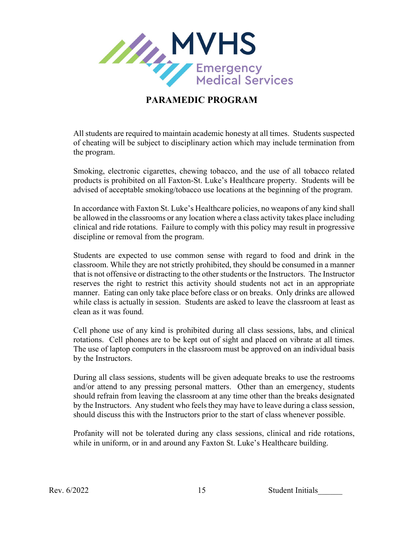

All students are required to maintain academic honesty at all times. Students suspected of cheating will be subject to disciplinary action which may include termination from the program.

Smoking, electronic cigarettes, chewing tobacco, and the use of all tobacco related products is prohibited on all Faxton-St. Luke's Healthcare property. Students will be advised of acceptable smoking/tobacco use locations at the beginning of the program.

In accordance with Faxton St. Luke's Healthcare policies, no weapons of any kind shall be allowed in the classrooms or any location where a class activity takes place including clinical and ride rotations. Failure to comply with this policy may result in progressive discipline or removal from the program.

Students are expected to use common sense with regard to food and drink in the classroom. While they are not strictly prohibited, they should be consumed in a manner that is not offensive or distracting to the other students or the Instructors. The Instructor reserves the right to restrict this activity should students not act in an appropriate manner. Eating can only take place before class or on breaks. Only drinks are allowed while class is actually in session. Students are asked to leave the classroom at least as clean as it was found.

Cell phone use of any kind is prohibited during all class sessions, labs, and clinical rotations. Cell phones are to be kept out of sight and placed on vibrate at all times. The use of laptop computers in the classroom must be approved on an individual basis by the Instructors.

During all class sessions, students will be given adequate breaks to use the restrooms and/or attend to any pressing personal matters. Other than an emergency, students should refrain from leaving the classroom at any time other than the breaks designated by the Instructors. Any student who feels they may have to leave during a class session, should discuss this with the Instructors prior to the start of class whenever possible.

Profanity will not be tolerated during any class sessions, clinical and ride rotations, while in uniform, or in and around any Faxton St. Luke's Healthcare building.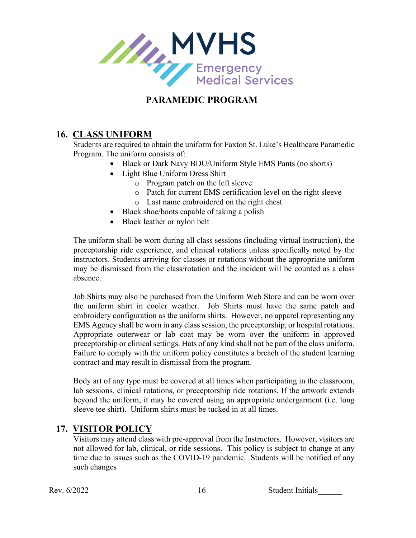

#### **16. CLASS UNIFORM**

Students are required to obtain the uniform for Faxton St. Luke's Healthcare Paramedic Program. The uniform consists of:

- Black or Dark Navy BDU/Uniform Style EMS Pants (no shorts)
- Light Blue Uniform Dress Shirt
	- o Program patch on the left sleeve
	- o Patch for current EMS certification level on the right sleeve
	- o Last name embroidered on the right chest
- Black shoe/boots capable of taking a polish
- Black leather or nylon belt

The uniform shall be worn during all class sessions (including virtual instruction), the preceptorship ride experience, and clinical rotations unless specifically noted by the instructors. Students arriving for classes or rotations without the appropriate uniform may be dismissed from the class/rotation and the incident will be counted as a class absence.

Job Shirts may also be purchased from the Uniform Web Store and can be worn over the uniform shirt in cooler weather. Job Shirts must have the same patch and embroidery configuration as the uniform shirts. However, no apparel representing any EMS Agency shall be worn in any class session, the preceptorship, or hospital rotations. Appropriate outerwear or lab coat may be worn over the uniform in approved preceptorship or clinical settings. Hats of any kind shall not be part of the class uniform. Failure to comply with the uniform policy constitutes a breach of the student learning contract and may result in dismissal from the program.

Body art of any type must be covered at all times when participating in the classroom, lab sessions, clinical rotations, or preceptorship ride rotations. If the artwork extends beyond the uniform, it may be covered using an appropriate undergarment (i.e. long sleeve tee shirt). Uniform shirts must be tucked in at all times.

#### **17. VISITOR POLICY**

Visitors may attend class with pre-approval from the Instructors. However, visitors are not allowed for lab, clinical, or ride sessions. This policy is subject to change at any time due to issues such as the COVID-19 pandemic. Students will be notified of any such changes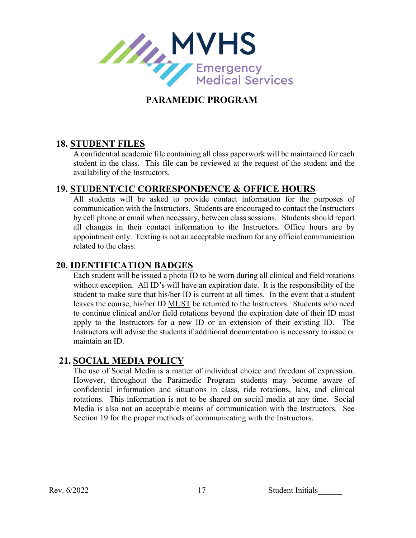

#### **18. STUDENT FILES**

A confidential academic file containing all class paperwork will be maintained for each student in the class. This file can be reviewed at the request of the student and the availability of the Instructors.

#### **19. STUDENT/CIC CORRESPONDENCE & OFFICE HOURS**

All students will be asked to provide contact information for the purposes of communication with the Instructors. Students are encouraged to contact the Instructors by cell phone or email when necessary, between class sessions. Students should report all changes in their contact information to the Instructors. Office hours are by appointment only. Texting is not an acceptable medium for any official communication related to the class.

#### **20. IDENTIFICATION BADGES**

Each student will be issued a photo ID to be worn during all clinical and field rotations without exception. All ID's will have an expiration date. It is the responsibility of the student to make sure that his/her ID is current at all times. In the event that a student leaves the course, his/her ID MUST be returned to the Instructors. Students who need to continue clinical and/or field rotations beyond the expiration date of their ID must apply to the Instructors for a new ID or an extension of their existing ID. The Instructors will advise the students if additional documentation is necessary to issue or maintain an ID.

#### **21. SOCIAL MEDIA POLICY**

The use of Social Media is a matter of individual choice and freedom of expression. However, throughout the Paramedic Program students may become aware of confidential information and situations in class, ride rotations, labs, and clinical rotations. This information is not to be shared on social media at any time. Social Media is also not an acceptable means of communication with the Instructors. See Section 19 for the proper methods of communicating with the Instructors.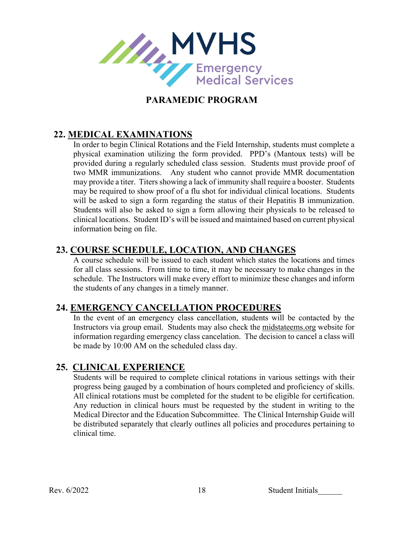

### **22. MEDICAL EXAMINATIONS**

In order to begin Clinical Rotations and the Field Internship, students must complete a physical examination utilizing the form provided. PPD's (Mantoux tests) will be provided during a regularly scheduled class session. Students must provide proof of two MMR immunizations. Any student who cannot provide MMR documentation may provide a titer. Titers showing a lack of immunity shall require a booster. Students may be required to show proof of a flu shot for individual clinical locations. Students will be asked to sign a form regarding the status of their Hepatitis B immunization. Students will also be asked to sign a form allowing their physicals to be released to clinical locations. Student ID's will be issued and maintained based on current physical information being on file.

#### **23. COURSE SCHEDULE, LOCATION, AND CHANGES**

A course schedule will be issued to each student which states the locations and times for all class sessions. From time to time, it may be necessary to make changes in the schedule. The Instructors will make every effort to minimize these changes and inform the students of any changes in a timely manner.

#### **24. EMERGENCY CANCELLATION PROCEDURES**

In the event of an emergency class cancellation, students will be contacted by the Instructors via group email. Students may also check the midstateems.org website for information regarding emergency class cancelation. The decision to cancel a class will be made by 10:00 AM on the scheduled class day.

#### **25. CLINICAL EXPERIENCE**

Students will be required to complete clinical rotations in various settings with their progress being gauged by a combination of hours completed and proficiency of skills. All clinical rotations must be completed for the student to be eligible for certification. Any reduction in clinical hours must be requested by the student in writing to the Medical Director and the Education Subcommittee. The Clinical Internship Guide will be distributed separately that clearly outlines all policies and procedures pertaining to clinical time.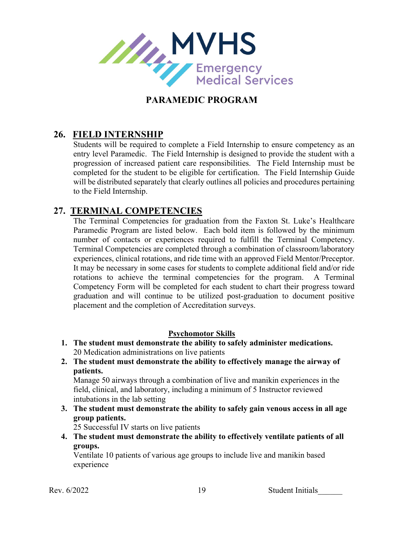

#### **26. FIELD INTERNSHIP**

Students will be required to complete a Field Internship to ensure competency as an entry level Paramedic. The Field Internship is designed to provide the student with a progression of increased patient care responsibilities. The Field Internship must be completed for the student to be eligible for certification. The Field Internship Guide will be distributed separately that clearly outlines all policies and procedures pertaining to the Field Internship.

#### **27. TERMINAL COMPETENCIES**

The Terminal Competencies for graduation from the Faxton St. Luke's Healthcare Paramedic Program are listed below. Each bold item is followed by the minimum number of contacts or experiences required to fulfill the Terminal Competency. Terminal Competencies are completed through a combination of classroom/laboratory experiences, clinical rotations, and ride time with an approved Field Mentor/Preceptor. It may be necessary in some cases for students to complete additional field and/or ride rotations to achieve the terminal competencies for the program. A Terminal Competency Form will be completed for each student to chart their progress toward graduation and will continue to be utilized post-graduation to document positive placement and the completion of Accreditation surveys.

#### **Psychomotor Skills**

- **1. The student must demonstrate the ability to safely administer medications.** 20 Medication administrations on live patients
- **2. The student must demonstrate the ability to effectively manage the airway of patients.**

Manage 50 airways through a combination of live and manikin experiences in the field, clinical, and laboratory, including a minimum of 5 Instructor reviewed intubations in the lab setting

**3. The student must demonstrate the ability to safely gain venous access in all age group patients.**

25 Successful IV starts on live patients

**4. The student must demonstrate the ability to effectively ventilate patients of all groups.**

Ventilate 10 patients of various age groups to include live and manikin based experience

Rev. 6/2022 19 Student Initials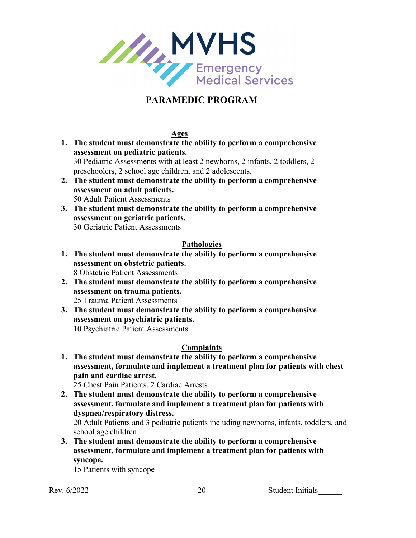

**Ages**

- **1. The student must demonstrate the ability to perform a comprehensive assessment on pediatric patients.** 30 Pediatric Assessments with at least 2 newborns, 2 infants, 2 toddlers, 2 preschoolers, 2 school age children, and 2 adolescents.
- **2. The student must demonstrate the ability to perform a comprehensive assessment on adult patients.** 50 Adult Patient Assessments
- **3. The student must demonstrate the ability to perform a comprehensive assessment on geriatric patients.** 30 Geriatric Patient Assessments

#### **Pathologies**

- **1. The student must demonstrate the ability to perform a comprehensive assessment on obstetric patients.** 8 Obstetric Patient Assessments
- **2. The student must demonstrate the ability to perform a comprehensive assessment on trauma patients.** 25 Trauma Patient Assessments
- **3. The student must demonstrate the ability to perform a comprehensive assessment on psychiatric patients.**
	- 10 Psychiatric Patient Assessments

#### **Complaints**

**1. The student must demonstrate the ability to perform a comprehensive assessment, formulate and implement a treatment plan for patients with chest pain and cardiac arrest.**

25 Chest Pain Patients, 2 Cardiac Arrests

**2. The student must demonstrate the ability to perform a comprehensive assessment, formulate and implement a treatment plan for patients with dyspnea/respiratory distress.**

20 Adult Patients and 3 pediatric patients including newborns, infants, toddlers, and school age children

**3. The student must demonstrate the ability to perform a comprehensive assessment, formulate and implement a treatment plan for patients with syncope.**

15 Patients with syncope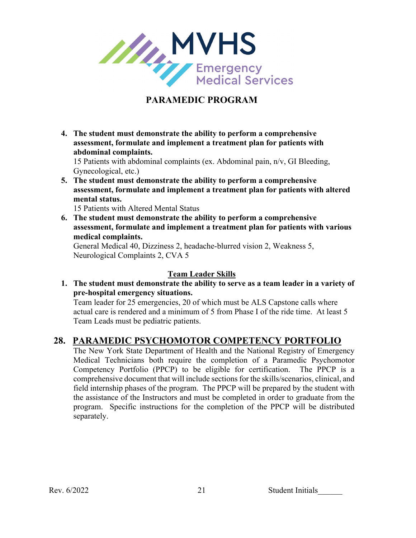

**4. The student must demonstrate the ability to perform a comprehensive assessment, formulate and implement a treatment plan for patients with abdominal complaints.**

15 Patients with abdominal complaints (ex. Abdominal pain, n/v, GI Bleeding, Gynecological, etc.)

**5. The student must demonstrate the ability to perform a comprehensive assessment, formulate and implement a treatment plan for patients with altered mental status.**

15 Patients with Altered Mental Status

 **6. The student must demonstrate the ability to perform a comprehensive assessment, formulate and implement a treatment plan for patients with various medical complaints.**

General Medical 40, Dizziness 2, headache-blurred vision 2, Weakness 5, Neurological Complaints 2, CVA 5

#### **Team Leader Skills**

**1. The student must demonstrate the ability to serve as a team leader in a variety of pre-hospital emergency situations.**

Team leader for 25 emergencies, 20 of which must be ALS Capstone calls where actual care is rendered and a minimum of 5 from Phase I of the ride time. At least 5 Team Leads must be pediatric patients.

#### **28. PARAMEDIC PSYCHOMOTOR COMPETENCY PORTFOLIO**

The New York State Department of Health and the National Registry of Emergency Medical Technicians both require the completion of a Paramedic Psychomotor Competency Portfolio (PPCP) to be eligible for certification. The PPCP is a comprehensive document that will include sections for the skills/scenarios, clinical, and field internship phases of the program. The PPCP will be prepared by the student with the assistance of the Instructors and must be completed in order to graduate from the program. Specific instructions for the completion of the PPCP will be distributed separately.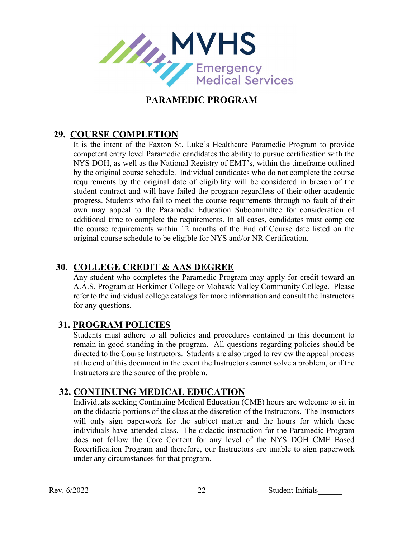

#### **29. COURSE COMPLETION**

It is the intent of the Faxton St. Luke's Healthcare Paramedic Program to provide competent entry level Paramedic candidates the ability to pursue certification with the NYS DOH, as well as the National Registry of EMT's, within the timeframe outlined by the original course schedule. Individual candidates who do not complete the course requirements by the original date of eligibility will be considered in breach of the student contract and will have failed the program regardless of their other academic progress. Students who fail to meet the course requirements through no fault of their own may appeal to the Paramedic Education Subcommittee for consideration of additional time to complete the requirements. In all cases, candidates must complete the course requirements within 12 months of the End of Course date listed on the original course schedule to be eligible for NYS and/or NR Certification.

#### **30. COLLEGE CREDIT & AAS DEGREE**

Any student who completes the Paramedic Program may apply for credit toward an A.A.S. Program at Herkimer College or Mohawk Valley Community College. Please refer to the individual college catalogs for more information and consult the Instructors for any questions.

#### **31. PROGRAM POLICIES**

Students must adhere to all policies and procedures contained in this document to remain in good standing in the program. All questions regarding policies should be directed to the Course Instructors. Students are also urged to review the appeal process at the end of this document in the event the Instructors cannot solve a problem, or if the Instructors are the source of the problem.

#### **32. CONTINUING MEDICAL EDUCATION**

Individuals seeking Continuing Medical Education (CME) hours are welcome to sit in on the didactic portions of the class at the discretion of the Instructors. The Instructors will only sign paperwork for the subject matter and the hours for which these individuals have attended class. The didactic instruction for the Paramedic Program does not follow the Core Content for any level of the NYS DOH CME Based Recertification Program and therefore, our Instructors are unable to sign paperwork under any circumstances for that program.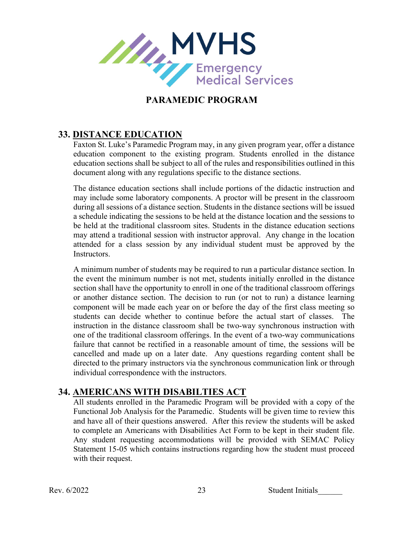

#### **33. DISTANCE EDUCATION**

Faxton St. Luke's Paramedic Program may, in any given program year, offer a distance education component to the existing program. Students enrolled in the distance education sections shall be subject to all of the rules and responsibilities outlined in this document along with any regulations specific to the distance sections.

The distance education sections shall include portions of the didactic instruction and may include some laboratory components. A proctor will be present in the classroom during all sessions of a distance section. Students in the distance sections will be issued a schedule indicating the sessions to be held at the distance location and the sessions to be held at the traditional classroom sites. Students in the distance education sections may attend a traditional session with instructor approval. Any change in the location attended for a class session by any individual student must be approved by the Instructors.

A minimum number of students may be required to run a particular distance section. In the event the minimum number is not met, students initially enrolled in the distance section shall have the opportunity to enroll in one of the traditional classroom offerings or another distance section. The decision to run (or not to run) a distance learning component will be made each year on or before the day of the first class meeting so students can decide whether to continue before the actual start of classes. The instruction in the distance classroom shall be two-way synchronous instruction with one of the traditional classroom offerings. In the event of a two-way communications failure that cannot be rectified in a reasonable amount of time, the sessions will be cancelled and made up on a later date. Any questions regarding content shall be directed to the primary instructors via the synchronous communication link or through individual correspondence with the instructors.

#### **34. AMERICANS WITH DISABILTIES ACT**

All students enrolled in the Paramedic Program will be provided with a copy of the Functional Job Analysis for the Paramedic. Students will be given time to review this and have all of their questions answered. After this review the students will be asked to complete an Americans with Disabilities Act Form to be kept in their student file. Any student requesting accommodations will be provided with SEMAC Policy Statement 15-05 which contains instructions regarding how the student must proceed with their request.

Rev. 6/2022 23 Student Initials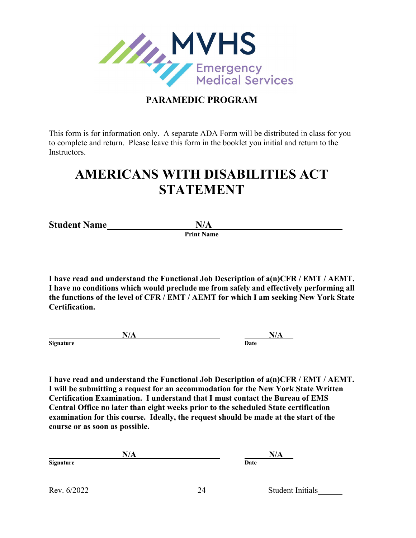

This form is for information only. A separate ADA Form will be distributed in class for you to complete and return. Please leave this form in the booklet you initial and return to the Instructors.

# **AMERICANS WITH DISABILITIES ACT STATEMENT**

**Student Name N/A** Print Name

**I have read and understand the Functional Job Description of a(n)CFR / EMT / AEMT. I have no conditions which would preclude me from safely and effectively performing all the functions of the level of CFR / EMT / AEMT for which I am seeking New York State Certification.**

**N/A N/A**

**Signature** 

**I have read and understand the Functional Job Description of a(n)CFR / EMT / AEMT. I will be submitting a request for an accommodation for the New York State Written Certification Examination. I understand that I must contact the Bureau of EMS Central Office no later than eight weeks prior to the scheduled State certification examination for this course. Ideally, the request should be made at the start of the course or as soon as possible.** 

**N/A N/A Signature Date**

Rev. 6/2022 24 Student Initials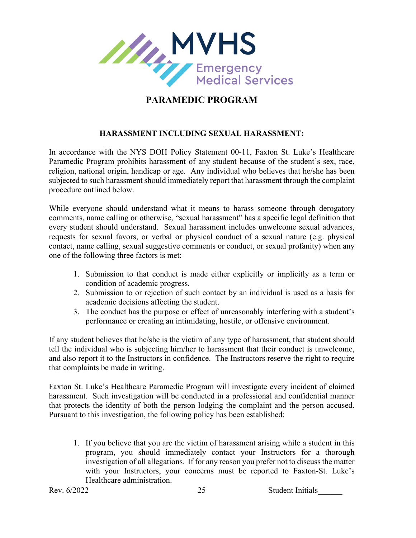

#### **HARASSMENT INCLUDING SEXUAL HARASSMENT:**

In accordance with the NYS DOH Policy Statement 00-11, Faxton St. Luke's Healthcare Paramedic Program prohibits harassment of any student because of the student's sex, race, religion, national origin, handicap or age. Any individual who believes that he/she has been subjected to such harassment should immediately report that harassment through the complaint procedure outlined below.

While everyone should understand what it means to harass someone through derogatory comments, name calling or otherwise, "sexual harassment" has a specific legal definition that every student should understand. Sexual harassment includes unwelcome sexual advances, requests for sexual favors, or verbal or physical conduct of a sexual nature (e.g. physical contact, name calling, sexual suggestive comments or conduct, or sexual profanity) when any one of the following three factors is met:

- 1. Submission to that conduct is made either explicitly or implicitly as a term or condition of academic progress.
- 2. Submission to or rejection of such contact by an individual is used as a basis for academic decisions affecting the student.
- 3. The conduct has the purpose or effect of unreasonably interfering with a student's performance or creating an intimidating, hostile, or offensive environment.

If any student believes that he/she is the victim of any type of harassment, that student should tell the individual who is subjecting him/her to harassment that their conduct is unwelcome, and also report it to the Instructors in confidence. The Instructors reserve the right to require that complaints be made in writing.

Faxton St. Luke's Healthcare Paramedic Program will investigate every incident of claimed harassment. Such investigation will be conducted in a professional and confidential manner that protects the identity of both the person lodging the complaint and the person accused. Pursuant to this investigation, the following policy has been established:

1. If you believe that you are the victim of harassment arising while a student in this program, you should immediately contact your Instructors for a thorough investigation of all allegations. If for any reason you prefer not to discuss the matter with your Instructors, your concerns must be reported to Faxton-St. Luke's Healthcare administration.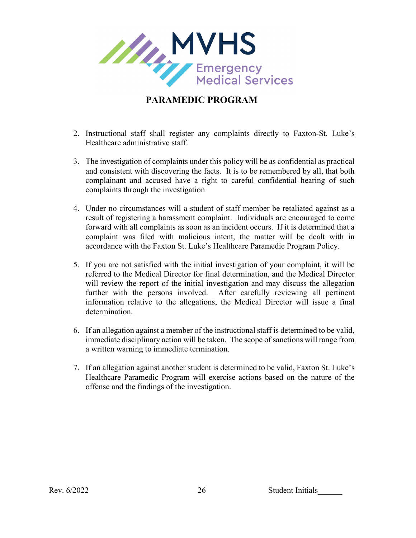

- 2. Instructional staff shall register any complaints directly to Faxton-St. Luke's Healthcare administrative staff.
- 3. The investigation of complaints under this policy will be as confidential as practical and consistent with discovering the facts. It is to be remembered by all, that both complainant and accused have a right to careful confidential hearing of such complaints through the investigation
- 4. Under no circumstances will a student of staff member be retaliated against as a result of registering a harassment complaint. Individuals are encouraged to come forward with all complaints as soon as an incident occurs. If it is determined that a complaint was filed with malicious intent, the matter will be dealt with in accordance with the Faxton St. Luke's Healthcare Paramedic Program Policy.
- 5. If you are not satisfied with the initial investigation of your complaint, it will be referred to the Medical Director for final determination, and the Medical Director will review the report of the initial investigation and may discuss the allegation further with the persons involved. After carefully reviewing all pertinent information relative to the allegations, the Medical Director will issue a final determination.
- 6. If an allegation against a member of the instructional staff is determined to be valid, immediate disciplinary action will be taken. The scope of sanctions will range from a written warning to immediate termination.
- 7. If an allegation against another student is determined to be valid, Faxton St. Luke's Healthcare Paramedic Program will exercise actions based on the nature of the offense and the findings of the investigation.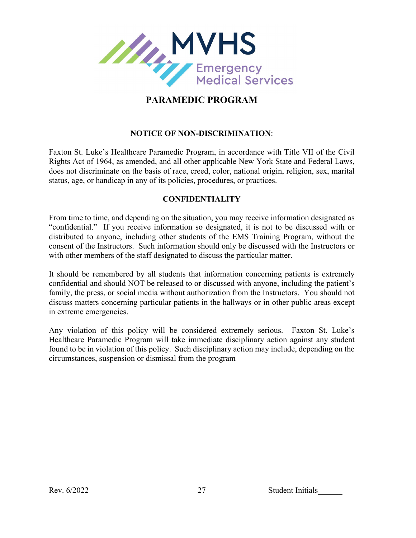

#### **NOTICE OF NON-DISCRIMINATION**:

Faxton St. Luke's Healthcare Paramedic Program, in accordance with Title VII of the Civil Rights Act of 1964, as amended, and all other applicable New York State and Federal Laws, does not discriminate on the basis of race, creed, color, national origin, religion, sex, marital status, age, or handicap in any of its policies, procedures, or practices.

#### **CONFIDENTIALITY**

From time to time, and depending on the situation, you may receive information designated as "confidential." If you receive information so designated, it is not to be discussed with or distributed to anyone, including other students of the EMS Training Program, without the consent of the Instructors. Such information should only be discussed with the Instructors or with other members of the staff designated to discuss the particular matter.

It should be remembered by all students that information concerning patients is extremely confidential and should NOT be released to or discussed with anyone, including the patient's family, the press, or social media without authorization from the Instructors. You should not discuss matters concerning particular patients in the hallways or in other public areas except in extreme emergencies.

Any violation of this policy will be considered extremely serious. Faxton St. Luke's Healthcare Paramedic Program will take immediate disciplinary action against any student found to be in violation of this policy. Such disciplinary action may include, depending on the circumstances, suspension or dismissal from the program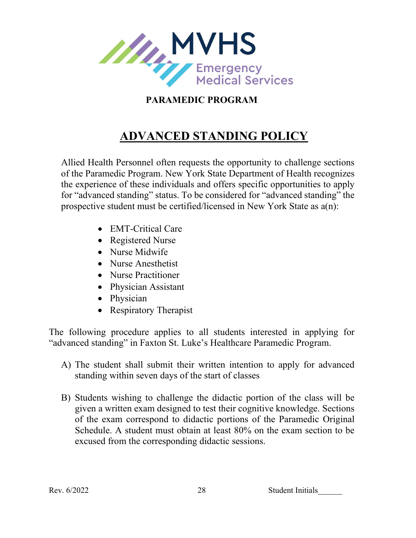

# **ADVANCED STANDING POLICY**

Allied Health Personnel often requests the opportunity to challenge sections of the Paramedic Program. New York State Department of Health recognizes the experience of these individuals and offers specific opportunities to apply for "advanced standing" status. To be considered for "advanced standing" the prospective student must be certified/licensed in New York State as a(n):

- EMT-Critical Care
- Registered Nurse
- Nurse Midwife
- Nurse Anesthetist
- Nurse Practitioner
- Physician Assistant
- Physician
- Respiratory Therapist

The following procedure applies to all students interested in applying for "advanced standing" in Faxton St. Luke's Healthcare Paramedic Program.

- A) The student shall submit their written intention to apply for advanced standing within seven days of the start of classes
- B) Students wishing to challenge the didactic portion of the class will be given a written exam designed to test their cognitive knowledge. Sections of the exam correspond to didactic portions of the Paramedic Original Schedule. A student must obtain at least 80% on the exam section to be excused from the corresponding didactic sessions.

Rev. 6/2022 28 Student Initials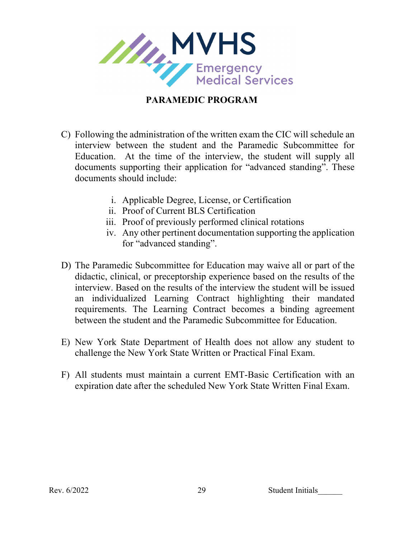

- C) Following the administration of the written exam the CIC will schedule an interview between the student and the Paramedic Subcommittee for Education. At the time of the interview, the student will supply all documents supporting their application for "advanced standing". These documents should include:
	- i. Applicable Degree, License, or Certification
	- ii. Proof of Current BLS Certification
	- iii. Proof of previously performed clinical rotations
	- iv. Any other pertinent documentation supporting the application for "advanced standing".
- D) The Paramedic Subcommittee for Education may waive all or part of the didactic, clinical, or preceptorship experience based on the results of the interview. Based on the results of the interview the student will be issued an individualized Learning Contract highlighting their mandated requirements. The Learning Contract becomes a binding agreement between the student and the Paramedic Subcommittee for Education.
- E) New York State Department of Health does not allow any student to challenge the New York State Written or Practical Final Exam.
- F) All students must maintain a current EMT-Basic Certification with an expiration date after the scheduled New York State Written Final Exam.